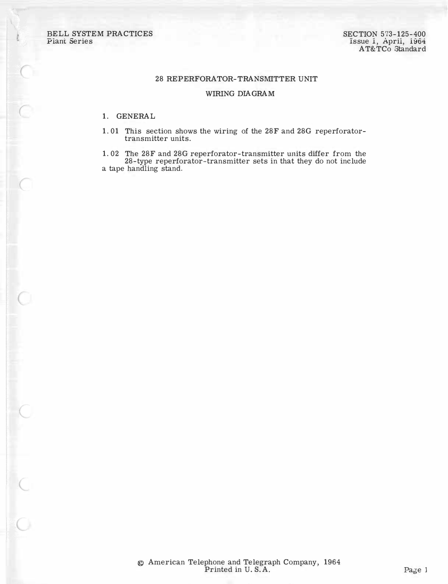BELL SYSTEM PRACTICES Plant Series

 $\bigcap$ 

 $\subset$ 

### 28 REPERFORATOR-TRANSMITTER UNIT

## WIRING DIAGRAM

## 1. GENERAL

1. 01 This section shows the wiring of the 28F and 28G reperforatortransmitter units.

1. 02 The 28F and 28G reperforator-transmitter units differ from the 28-type reperforator-transmitter sets in that they do not include a tape handling stand.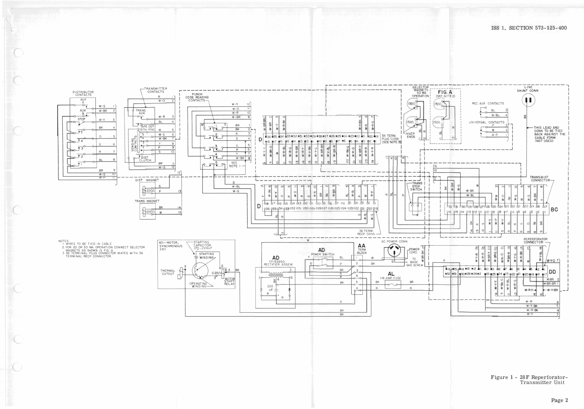

# Figure 1 - 28F Reperforator-<br>Transmitter Unit